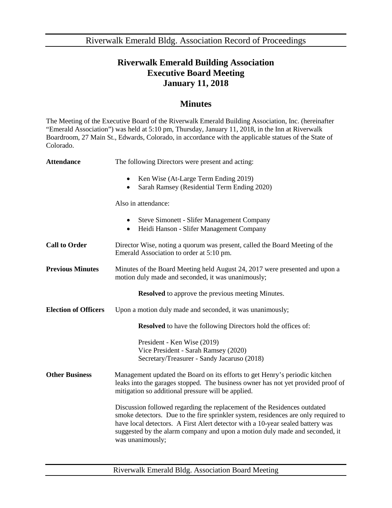Riverwalk Emerald Bldg. Association Record of Proceedings

## **Riverwalk Emerald Building Association Executive Board Meeting January 11, 2018**

## **Minutes**

The Meeting of the Executive Board of the Riverwalk Emerald Building Association, Inc. (hereinafter "Emerald Association") was held at 5:10 pm, Thursday, January 11, 2018, in the Inn at Riverwalk Boardroom, 27 Main St., Edwards, Colorado, in accordance with the applicable statues of the State of Colorado.

| <b>Attendance</b>                                        | The following Directors were present and acting:                                                                                                                                                                                                                                                                                                    |
|----------------------------------------------------------|-----------------------------------------------------------------------------------------------------------------------------------------------------------------------------------------------------------------------------------------------------------------------------------------------------------------------------------------------------|
|                                                          | Ken Wise (At-Large Term Ending 2019)<br>$\bullet$<br>Sarah Ramsey (Residential Term Ending 2020)                                                                                                                                                                                                                                                    |
|                                                          | Also in attendance:                                                                                                                                                                                                                                                                                                                                 |
|                                                          | Steve Simonett - Slifer Management Company<br>$\bullet$<br>Heidi Hanson - Slifer Management Company<br>$\bullet$                                                                                                                                                                                                                                    |
| <b>Call to Order</b>                                     | Director Wise, noting a quorum was present, called the Board Meeting of the<br>Emerald Association to order at 5:10 pm.                                                                                                                                                                                                                             |
| <b>Previous Minutes</b>                                  | Minutes of the Board Meeting held August 24, 2017 were presented and upon a<br>motion duly made and seconded, it was unanimously;                                                                                                                                                                                                                   |
| <b>Resolved</b> to approve the previous meeting Minutes. |                                                                                                                                                                                                                                                                                                                                                     |
| <b>Election of Officers</b>                              | Upon a motion duly made and seconded, it was unanimously;                                                                                                                                                                                                                                                                                           |
|                                                          | <b>Resolved</b> to have the following Directors hold the offices of:                                                                                                                                                                                                                                                                                |
|                                                          | President - Ken Wise (2019)<br>Vice President - Sarah Ramsey (2020)<br>Secretary/Treasurer - Sandy Jacaruso (2018)                                                                                                                                                                                                                                  |
| <b>Other Business</b>                                    | Management updated the Board on its efforts to get Henry's periodic kitchen<br>leaks into the garages stopped. The business owner has not yet provided proof of<br>mitigation so additional pressure will be applied.                                                                                                                               |
|                                                          | Discussion followed regarding the replacement of the Residences outdated<br>smoke detectors. Due to the fire sprinkler system, residences are only required to<br>have local detectors. A First Alert detector with a 10-year sealed battery was<br>suggested by the alarm company and upon a motion duly made and seconded, it<br>was unanimously; |